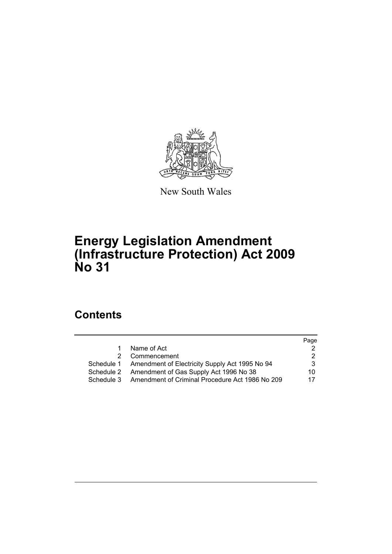

New South Wales

# **Energy Legislation Amendment (Infrastructure Protection) Act 2009 No 31**

# **Contents**

|            |                                                           | Page |
|------------|-----------------------------------------------------------|------|
| 1.         | Name of Act                                               |      |
| 2          | Commencement                                              |      |
|            | Schedule 1 Amendment of Electricity Supply Act 1995 No 94 | 3    |
| Schedule 2 | Amendment of Gas Supply Act 1996 No 38                    | 10.  |
| Schedule 3 | Amendment of Criminal Procedure Act 1986 No 209           | 17   |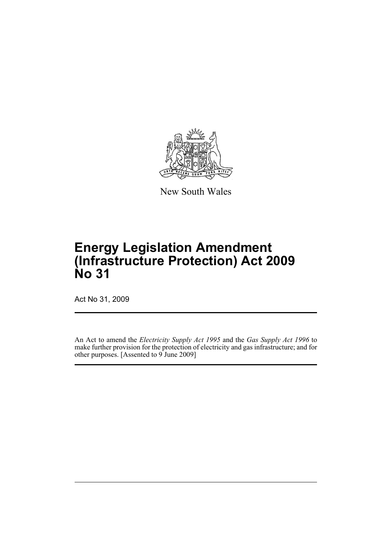

New South Wales

# **Energy Legislation Amendment (Infrastructure Protection) Act 2009 No 31**

Act No 31, 2009

An Act to amend the *Electricity Supply Act 1995* and the *Gas Supply Act 1996* to make further provision for the protection of electricity and gas infrastructure; and for other purposes. [Assented to 9 June 2009]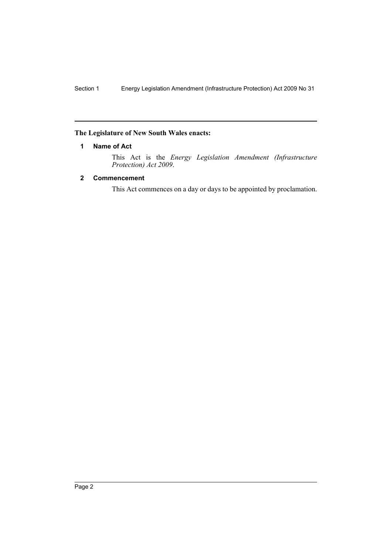### <span id="page-2-0"></span>**The Legislature of New South Wales enacts:**

# **1 Name of Act**

This Act is the *Energy Legislation Amendment (Infrastructure Protection) Act 2009*.

# <span id="page-2-1"></span>**2 Commencement**

This Act commences on a day or days to be appointed by proclamation.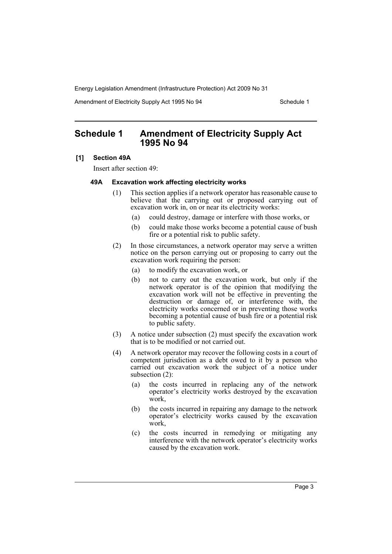Amendment of Electricity Supply Act 1995 No 94 Schedule 1

# <span id="page-3-0"></span>**Schedule 1 Amendment of Electricity Supply Act 1995 No 94**

#### **[1] Section 49A**

Insert after section 49:

#### **49A Excavation work affecting electricity works**

- (1) This section applies if a network operator has reasonable cause to believe that the carrying out or proposed carrying out of excavation work in, on or near its electricity works:
	- (a) could destroy, damage or interfere with those works, or
	- (b) could make those works become a potential cause of bush fire or a potential risk to public safety.
- (2) In those circumstances, a network operator may serve a written notice on the person carrying out or proposing to carry out the excavation work requiring the person:
	- (a) to modify the excavation work, or
	- (b) not to carry out the excavation work, but only if the network operator is of the opinion that modifying the excavation work will not be effective in preventing the destruction or damage of, or interference with, the electricity works concerned or in preventing those works becoming a potential cause of bush fire or a potential risk to public safety.
- (3) A notice under subsection (2) must specify the excavation work that is to be modified or not carried out.
- (4) A network operator may recover the following costs in a court of competent jurisdiction as a debt owed to it by a person who carried out excavation work the subject of a notice under subsection (2):
	- (a) the costs incurred in replacing any of the network operator's electricity works destroyed by the excavation work,
	- (b) the costs incurred in repairing any damage to the network operator's electricity works caused by the excavation work,
	- (c) the costs incurred in remedying or mitigating any interference with the network operator's electricity works caused by the excavation work.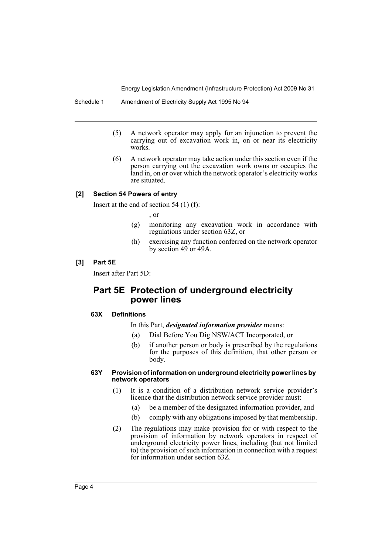- (5) A network operator may apply for an injunction to prevent the carrying out of excavation work in, on or near its electricity works.
- (6) A network operator may take action under this section even if the person carrying out the excavation work owns or occupies the land in, on or over which the network operator's electricity works are situated.

# **[2] Section 54 Powers of entry**

Insert at the end of section 54 (1) (f):

, or

- (g) monitoring any excavation work in accordance with regulations under section 63Z, or
- (h) exercising any function conferred on the network operator by section 49 or 49A.

#### **[3] Part 5E**

Insert after Part 5D:

# **Part 5E Protection of underground electricity power lines**

#### **63X Definitions**

In this Part, *designated information provider* means:

- (a) Dial Before You Dig NSW/ACT Incorporated, or
- (b) if another person or body is prescribed by the regulations for the purposes of this definition, that other person or body.

#### **63Y Provision of information on underground electricity power lines by network operators**

- (1) It is a condition of a distribution network service provider's licence that the distribution network service provider must:
	- (a) be a member of the designated information provider, and
	- (b) comply with any obligations imposed by that membership.
- (2) The regulations may make provision for or with respect to the provision of information by network operators in respect of underground electricity power lines, including (but not limited to) the provision of such information in connection with a request for information under section 63Z.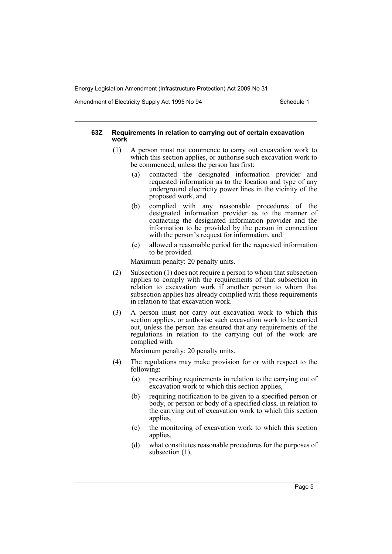Amendment of Electricity Supply Act 1995 No 94 Schedule 1

#### **63Z Requirements in relation to carrying out of certain excavation work**

- (1) A person must not commence to carry out excavation work to which this section applies, or authorise such excavation work to be commenced, unless the person has first:
	- (a) contacted the designated information provider and requested information as to the location and type of any underground electricity power lines in the vicinity of the proposed work, and
	- (b) complied with any reasonable procedures of the designated information provider as to the manner of contacting the designated information provider and the information to be provided by the person in connection with the person's request for information, and
	- (c) allowed a reasonable period for the requested information to be provided.

Maximum penalty: 20 penalty units.

- (2) Subsection (1) does not require a person to whom that subsection applies to comply with the requirements of that subsection in relation to excavation work if another person to whom that subsection applies has already complied with those requirements in relation to that excavation work.
- (3) A person must not carry out excavation work to which this section applies, or authorise such excavation work to be carried out, unless the person has ensured that any requirements of the regulations in relation to the carrying out of the work are complied with.

Maximum penalty: 20 penalty units.

- (4) The regulations may make provision for or with respect to the following:
	- (a) prescribing requirements in relation to the carrying out of excavation work to which this section applies,
	- (b) requiring notification to be given to a specified person or body, or person or body of a specified class, in relation to the carrying out of excavation work to which this section applies,
	- (c) the monitoring of excavation work to which this section applies,
	- (d) what constitutes reasonable procedures for the purposes of subsection (1),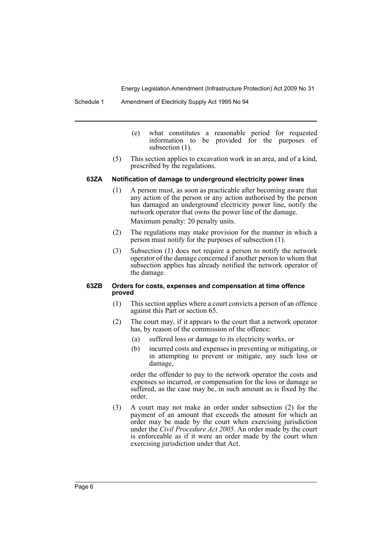Schedule 1 Amendment of Electricity Supply Act 1995 No 94

- (e) what constitutes a reasonable period for requested information to be provided for the purposes of subsection  $(1)$ .
- (5) This section applies to excavation work in an area, and of a kind, prescribed by the regulations.

#### **63ZA Notification of damage to underground electricity power lines**

- (1) A person must, as soon as practicable after becoming aware that any action of the person or any action authorised by the person has damaged an underground electricity power line, notify the network operator that owns the power line of the damage. Maximum penalty: 20 penalty units.
- (2) The regulations may make provision for the manner in which a person must notify for the purposes of subsection (1).
- (3) Subsection (1) does not require a person to notify the network operator of the damage concerned if another person to whom that subsection applies has already notified the network operator of the damage.

#### **63ZB Orders for costs, expenses and compensation at time offence proved**

- (1) This section applies where a court convicts a person of an offence against this Part or section 65.
- (2) The court may, if it appears to the court that a network operator has, by reason of the commission of the offence:
	- (a) suffered loss or damage to its electricity works, or
	- (b) incurred costs and expenses in preventing or mitigating, or in attempting to prevent or mitigate, any such loss or damage,

order the offender to pay to the network operator the costs and expenses so incurred, or compensation for the loss or damage so suffered, as the case may be, in such amount as is fixed by the order.

(3) A court may not make an order under subsection (2) for the payment of an amount that exceeds the amount for which an order may be made by the court when exercising jurisdiction under the *Civil Procedure Act 2005*. An order made by the court is enforceable as if it were an order made by the court when exercising jurisdiction under that Act.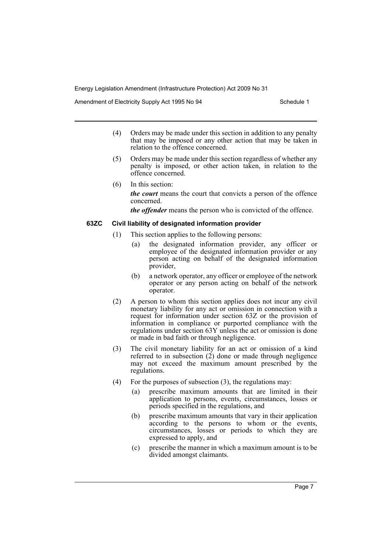Amendment of Electricity Supply Act 1995 No 94 Schedule 1

- (4) Orders may be made under this section in addition to any penalty that may be imposed or any other action that may be taken in relation to the offence concerned.
- (5) Orders may be made under this section regardless of whether any penalty is imposed, or other action taken, in relation to the offence concerned.
- (6) In this section: *the court* means the court that convicts a person of the offence concerned.

*the offender* means the person who is convicted of the offence.

#### **63ZC Civil liability of designated information provider**

- (1) This section applies to the following persons:
	- (a) the designated information provider, any officer or employee of the designated information provider or any person acting on behalf of the designated information provider,
	- (b) a network operator, any officer or employee of the network operator or any person acting on behalf of the network operator.
- (2) A person to whom this section applies does not incur any civil monetary liability for any act or omission in connection with a request for information under section 63Z or the provision of information in compliance or purported compliance with the regulations under section 63Y unless the act or omission is done or made in bad faith or through negligence.
- (3) The civil monetary liability for an act or omission of a kind referred to in subsection (2) done or made through negligence may not exceed the maximum amount prescribed by the regulations.
- (4) For the purposes of subsection  $(3)$ , the regulations may:
	- (a) prescribe maximum amounts that are limited in their application to persons, events, circumstances, losses or periods specified in the regulations, and
	- (b) prescribe maximum amounts that vary in their application according to the persons to whom or the events, circumstances, losses or periods to which they are expressed to apply, and
	- (c) prescribe the manner in which a maximum amount is to be divided amongst claimants.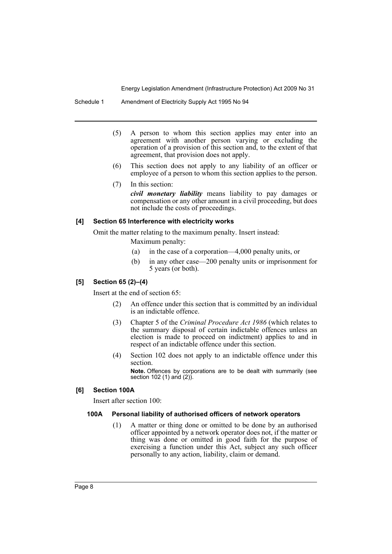Schedule 1 Amendment of Electricity Supply Act 1995 No 94

- (5) A person to whom this section applies may enter into an agreement with another person varying or excluding the operation of a provision of this section and, to the extent of that agreement, that provision does not apply.
- (6) This section does not apply to any liability of an officer or employee of a person to whom this section applies to the person.
- (7) In this section: *civil monetary liability* means liability to pay damages or compensation or any other amount in a civil proceeding, but does not include the costs of proceedings.

#### **[4] Section 65 Interference with electricity works**

Omit the matter relating to the maximum penalty. Insert instead:

Maximum penalty:

- (a) in the case of a corporation—4,000 penalty units, or
- (b) in any other case—200 penalty units or imprisonment for 5 years (or both).

# **[5] Section 65 (2)–(4)**

Insert at the end of section 65:

- (2) An offence under this section that is committed by an individual is an indictable offence.
- (3) Chapter 5 of the *Criminal Procedure Act 1986* (which relates to the summary disposal of certain indictable offences unless an election is made to proceed on indictment) applies to and in respect of an indictable offence under this section.
- (4) Section 102 does not apply to an indictable offence under this section.

**Note.** Offences by corporations are to be dealt with summarily (see section 102 (1) and (2)).

#### **[6] Section 100A**

Insert after section 100:

# **100A Personal liability of authorised officers of network operators**

(1) A matter or thing done or omitted to be done by an authorised officer appointed by a network operator does not, if the matter or thing was done or omitted in good faith for the purpose of exercising a function under this Act, subject any such officer personally to any action, liability, claim or demand.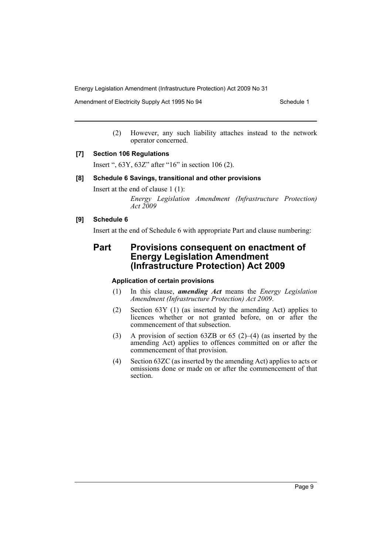Amendment of Electricity Supply Act 1995 No 94 Schedule 1

(2) However, any such liability attaches instead to the network operator concerned.

#### **[7] Section 106 Regulations**

Insert ", 63Y, 63Z" after "16" in section 106 (2).

#### **[8] Schedule 6 Savings, transitional and other provisions**

Insert at the end of clause 1 (1):

*Energy Legislation Amendment (Infrastructure Protection) Act 2009*

# **[9] Schedule 6**

Insert at the end of Schedule 6 with appropriate Part and clause numbering:

# **Part Provisions consequent on enactment of Energy Legislation Amendment (Infrastructure Protection) Act 2009**

#### **Application of certain provisions**

- (1) In this clause, *amending Act* means the *Energy Legislation Amendment (Infrastructure Protection) Act 2009*.
- (2) Section 63Y (1) (as inserted by the amending Act) applies to licences whether or not granted before, on or after the commencement of that subsection.
- (3) A provision of section 63ZB or 65 (2)–(4) (as inserted by the amending Act) applies to offences committed on or after the commencement of that provision.
- (4) Section 63ZC (as inserted by the amending Act) applies to acts or omissions done or made on or after the commencement of that section.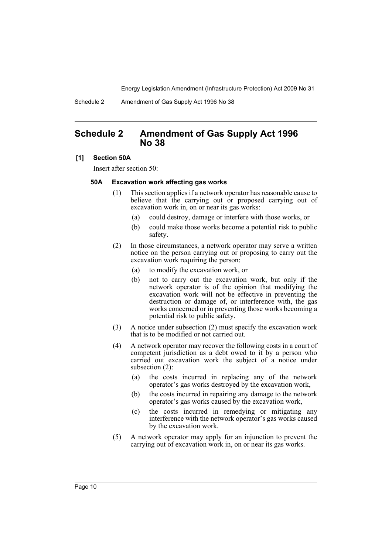Schedule 2 Amendment of Gas Supply Act 1996 No 38

# <span id="page-10-0"></span>**Schedule 2 Amendment of Gas Supply Act 1996 No 38**

#### **[1] Section 50A**

Insert after section 50:

#### **50A Excavation work affecting gas works**

- (1) This section applies if a network operator has reasonable cause to believe that the carrying out or proposed carrying out of excavation work in, on or near its gas works:
	- (a) could destroy, damage or interfere with those works, or
	- (b) could make those works become a potential risk to public safety.
- (2) In those circumstances, a network operator may serve a written notice on the person carrying out or proposing to carry out the excavation work requiring the person:
	- (a) to modify the excavation work, or
	- (b) not to carry out the excavation work, but only if the network operator is of the opinion that modifying the excavation work will not be effective in preventing the destruction or damage of, or interference with, the gas works concerned or in preventing those works becoming a potential risk to public safety.
- (3) A notice under subsection (2) must specify the excavation work that is to be modified or not carried out.
- (4) A network operator may recover the following costs in a court of competent jurisdiction as a debt owed to it by a person who carried out excavation work the subject of a notice under subsection (2):
	- (a) the costs incurred in replacing any of the network operator's gas works destroyed by the excavation work,
	- (b) the costs incurred in repairing any damage to the network operator's gas works caused by the excavation work,
	- (c) the costs incurred in remedying or mitigating any interference with the network operator's gas works caused by the excavation work.
- (5) A network operator may apply for an injunction to prevent the carrying out of excavation work in, on or near its gas works.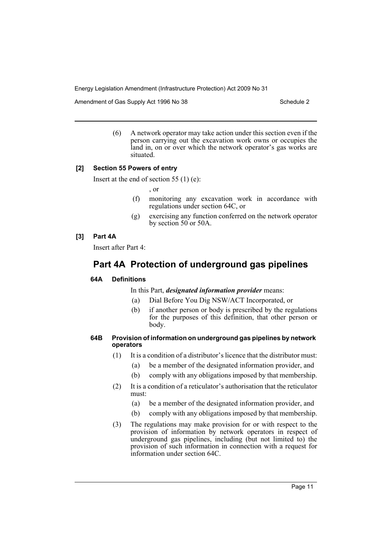Amendment of Gas Supply Act 1996 No 38 Schedule 2 Schedule 2

(6) A network operator may take action under this section even if the person carrying out the excavation work owns or occupies the land in, on or over which the network operator's gas works are situated.

#### **[2] Section 55 Powers of entry**

Insert at the end of section 55 (1) (e):

, or

- (f) monitoring any excavation work in accordance with regulations under section 64C, or
- (g) exercising any function conferred on the network operator by section 50 or 50A.

#### **[3] Part 4A**

Insert after Part 4:

# **Part 4A Protection of underground gas pipelines**

### **64A Definitions**

In this Part, *designated information provider* means:

- (a) Dial Before You Dig NSW/ACT Incorporated, or
- (b) if another person or body is prescribed by the regulations for the purposes of this definition, that other person or body.

#### **64B Provision of information on underground gas pipelines by network operators**

- (1) It is a condition of a distributor's licence that the distributor must:
	- (a) be a member of the designated information provider, and
	- (b) comply with any obligations imposed by that membership.
- (2) It is a condition of a reticulator's authorisation that the reticulator must:
	- (a) be a member of the designated information provider, and
	- (b) comply with any obligations imposed by that membership.
- (3) The regulations may make provision for or with respect to the provision of information by network operators in respect of underground gas pipelines, including (but not limited to) the provision of such information in connection with a request for information under section 64C.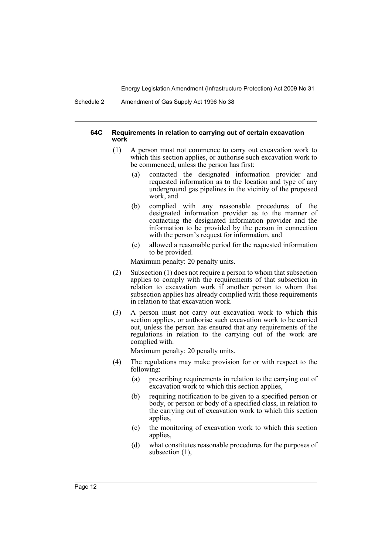Schedule 2 Amendment of Gas Supply Act 1996 No 38

#### **64C Requirements in relation to carrying out of certain excavation work**

- (1) A person must not commence to carry out excavation work to which this section applies, or authorise such excavation work to be commenced, unless the person has first:
	- (a) contacted the designated information provider and requested information as to the location and type of any underground gas pipelines in the vicinity of the proposed work, and
	- (b) complied with any reasonable procedures of the designated information provider as to the manner of contacting the designated information provider and the information to be provided by the person in connection with the person's request for information, and
	- (c) allowed a reasonable period for the requested information to be provided.

Maximum penalty: 20 penalty units.

- (2) Subsection (1) does not require a person to whom that subsection applies to comply with the requirements of that subsection in relation to excavation work if another person to whom that subsection applies has already complied with those requirements in relation to that excavation work.
- (3) A person must not carry out excavation work to which this section applies, or authorise such excavation work to be carried out, unless the person has ensured that any requirements of the regulations in relation to the carrying out of the work are complied with.

Maximum penalty: 20 penalty units.

- (4) The regulations may make provision for or with respect to the following:
	- (a) prescribing requirements in relation to the carrying out of excavation work to which this section applies,
	- (b) requiring notification to be given to a specified person or body, or person or body of a specified class, in relation to the carrying out of excavation work to which this section applies,
	- (c) the monitoring of excavation work to which this section applies,
	- (d) what constitutes reasonable procedures for the purposes of subsection (1),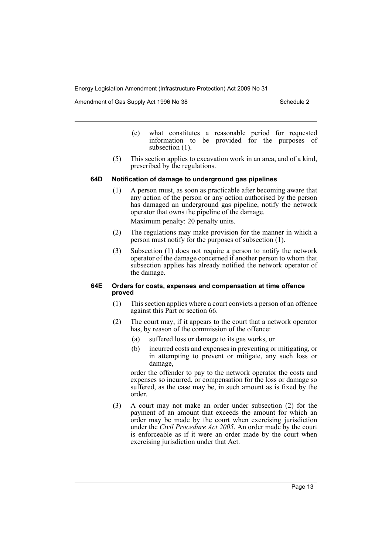Amendment of Gas Supply Act 1996 No 38 Schedule 2 Schedule 2

- (e) what constitutes a reasonable period for requested information to be provided for the purposes of subsection  $(1)$ .
- (5) This section applies to excavation work in an area, and of a kind, prescribed by the regulations.

#### **64D Notification of damage to underground gas pipelines**

- (1) A person must, as soon as practicable after becoming aware that any action of the person or any action authorised by the person has damaged an underground gas pipeline, notify the network operator that owns the pipeline of the damage. Maximum penalty: 20 penalty units.
- (2) The regulations may make provision for the manner in which a person must notify for the purposes of subsection (1).
- (3) Subsection (1) does not require a person to notify the network operator of the damage concerned if another person to whom that subsection applies has already notified the network operator of the damage.

#### **64E Orders for costs, expenses and compensation at time offence proved**

- (1) This section applies where a court convicts a person of an offence against this Part or section 66.
- (2) The court may, if it appears to the court that a network operator has, by reason of the commission of the offence:
	- (a) suffered loss or damage to its gas works, or
	- (b) incurred costs and expenses in preventing or mitigating, or in attempting to prevent or mitigate, any such loss or damage,

order the offender to pay to the network operator the costs and expenses so incurred, or compensation for the loss or damage so suffered, as the case may be, in such amount as is fixed by the order.

(3) A court may not make an order under subsection (2) for the payment of an amount that exceeds the amount for which an order may be made by the court when exercising jurisdiction under the *Civil Procedure Act 2005*. An order made by the court is enforceable as if it were an order made by the court when exercising jurisdiction under that Act.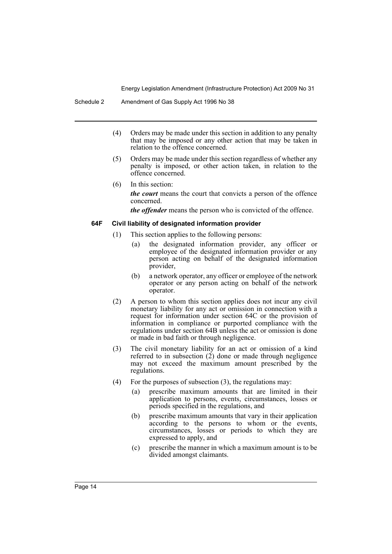- (4) Orders may be made under this section in addition to any penalty that may be imposed or any other action that may be taken in relation to the offence concerned.
- (5) Orders may be made under this section regardless of whether any penalty is imposed, or other action taken, in relation to the offence concerned.
- (6) In this section: *the court* means the court that convicts a person of the offence concerned.

*the offender* means the person who is convicted of the offence.

#### **64F Civil liability of designated information provider**

- (1) This section applies to the following persons:
	- (a) the designated information provider, any officer or employee of the designated information provider or any person acting on behalf of the designated information provider,
	- (b) a network operator, any officer or employee of the network operator or any person acting on behalf of the network operator.
- (2) A person to whom this section applies does not incur any civil monetary liability for any act or omission in connection with a request for information under section 64C or the provision of information in compliance or purported compliance with the regulations under section 64B unless the act or omission is done or made in bad faith or through negligence.
- (3) The civil monetary liability for an act or omission of a kind referred to in subsection (2) done or made through negligence may not exceed the maximum amount prescribed by the regulations.
- (4) For the purposes of subsection  $(3)$ , the regulations may:
	- (a) prescribe maximum amounts that are limited in their application to persons, events, circumstances, losses or periods specified in the regulations, and
	- (b) prescribe maximum amounts that vary in their application according to the persons to whom or the events, circumstances, losses or periods to which they are expressed to apply, and
	- (c) prescribe the manner in which a maximum amount is to be divided amongst claimants.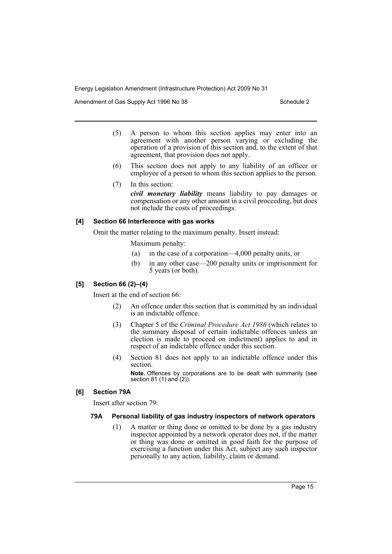Amendment of Gas Supply Act 1996 No 38 Schedule 2 Schedule 2

- (5) A person to whom this section applies may enter into an agreement with another person varying or excluding the operation of a provision of this section and, to the extent of that agreement, that provision does not apply.
- (6) This section does not apply to any liability of an officer or employee of a person to whom this section applies to the person.
- (7) In this section:

*civil monetary liability* means liability to pay damages or compensation or any other amount in a civil proceeding, but does not include the costs of proceedings.

# **[4] Section 66 Interference with gas works**

Omit the matter relating to the maximum penalty. Insert instead:

Maximum penalty:

- (a) in the case of a corporation—4,000 penalty units, or
- (b) in any other case—200 penalty units or imprisonment for 5 years (or both).

# **[5] Section 66 (2)–(4)**

Insert at the end of section 66:

- (2) An offence under this section that is committed by an individual is an indictable offence.
- (3) Chapter 5 of the *Criminal Procedure Act 1986* (which relates to the summary disposal of certain indictable offences unless an election is made to proceed on indictment) applies to and in respect of an indictable offence under this section.
- (4) Section 81 does not apply to an indictable offence under this section.

**Note.** Offences by corporations are to be dealt with summarily (see section 81 (1) and (2)).

# **[6] Section 79A**

Insert after section 79:

# **79A Personal liability of gas industry inspectors of network operators**

(1) A matter or thing done or omitted to be done by a gas industry inspector appointed by a network operator does not, if the matter or thing was done or omitted in good faith for the purpose of exercising a function under this Act, subject any such inspector personally to any action, liability, claim or demand.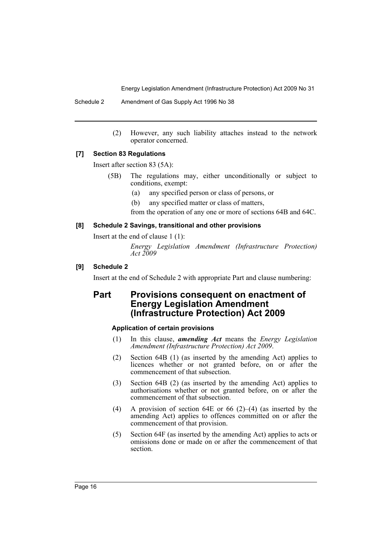Schedule 2 Amendment of Gas Supply Act 1996 No 38

(2) However, any such liability attaches instead to the network operator concerned.

#### **[7] Section 83 Regulations**

Insert after section 83 (5A):

- (5B) The regulations may, either unconditionally or subject to conditions, exempt:
	- (a) any specified person or class of persons, or
	- (b) any specified matter or class of matters,

from the operation of any one or more of sections 64B and 64C.

#### **[8] Schedule 2 Savings, transitional and other provisions**

Insert at the end of clause 1 (1):

*Energy Legislation Amendment (Infrastructure Protection) Act 2009*

# **[9] Schedule 2**

Insert at the end of Schedule 2 with appropriate Part and clause numbering:

# **Part Provisions consequent on enactment of Energy Legislation Amendment (Infrastructure Protection) Act 2009**

# **Application of certain provisions**

- (1) In this clause, *amending Act* means the *Energy Legislation Amendment (Infrastructure Protection) Act 2009*.
- (2) Section 64B (1) (as inserted by the amending Act) applies to licences whether or not granted before, on or after the commencement of that subsection.
- (3) Section 64B (2) (as inserted by the amending Act) applies to authorisations whether or not granted before, on or after the commencement of that subsection.
- (4) A provision of section 64E or 66 (2)–(4) (as inserted by the amending Act) applies to offences committed on or after the commencement of that provision.
- (5) Section 64F (as inserted by the amending Act) applies to acts or omissions done or made on or after the commencement of that section.